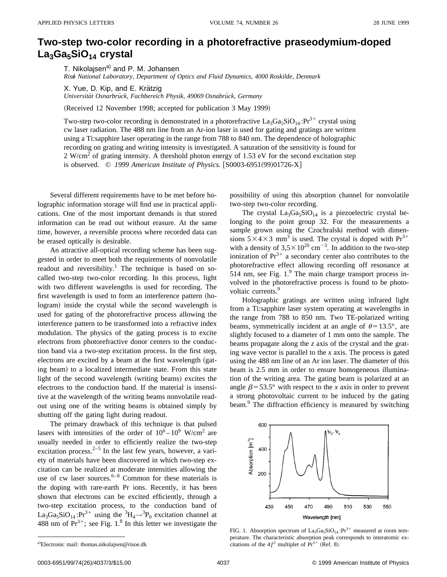## **Two-step two-color recording in a photorefractive praseodymium-doped** La<sub>3</sub>Ga<sub>5</sub>SiO<sub>14</sub> crystal

T. Nikolajsen<sup>a)</sup> and P. M. Johansen *Riso*" *National Laboratory, Department of Optics and Fluid Dynamics, 4000 Roskilde, Denmark*

X. Yue, D. Kip, and E. Krätzig

*Universita¨t Osnarbru¨ck, Fachbereich Physik, 49069 Osnabru¨ck, Germany*

(Received 12 November 1998; accepted for publication 3 May 1999)

Two-step two-color recording is demonstrated in a photorefractive  $La_3Ga_5SiO_{14}$ : $Pr^{3+}$  crystal using cw laser radiation. The 488 nm line from an Ar-ion laser is used for gating and gratings are written using a Ti:sapphire laser operating in the range from 788 to 840 nm. The dependence of holographic recording on grating and writing intensity is investigated. A saturation of the sensitivity is found for 2 W/cm<sup>2</sup> of grating intensity. A threshold photon energy of 1.53 eV for the second excitation step is observed.  $\odot$  1999 American Institute of Physics. [S0003-6951(99)01726-X]

Several different requirements have to be met before holographic information storage will find use in practical applications. One of the most important demands is that stored information can be read out without erasure. At the same time, however, a reversible process where recorded data can be erased optically is desirable.

An attractive all-optical recording scheme has been suggested in order to meet both the requirements of nonvolatile readout and reversibility.<sup>1</sup> The technique is based on socalled two-step two-color recording. In this process, light with two different wavelengths is used for recording. The first wavelength is used to form an interference pattern (hologram) inside the crystal while the second wavelength is used for gating of the photorefractive process allowing the interference pattern to be transformed into a refractive index modulation. The physics of the gating process is to excite electrons from photorefractive donor centers to the conduction band via a two-step excitation process. In the first step, electrons are excited by a beam at the first wavelength (gating beam) to a localized intermediate state. From this state light of the second wavelength (writing beams) excites the electrons to the conduction band. If the material is insensitive at the wavelength of the writing beams nonvolatile readout using one of the writing beams is obtained simply by shutting off the gating light during readout.

The primary drawback of this technique is that pulsed lasers with intensities of the order of  $10^6 - 10^9$  W/cm<sup>2</sup> are usually needed in order to efficiently realize the two-step excitation process. $2-5$  In the last few years, however, a variety of materials have been discovered in which two-step excitation can be realized at moderate intensities allowing the use of cw laser sources. $6-8$  Common for these materials is the doping with rare-earth Pr ions. Recently, it has been shown that electrons can be excited efficiently, through a two-step excitation process, to the conduction band of La<sub>3</sub>Ga<sub>5</sub>SiO<sub>14</sub>:Pr<sup>3+</sup> using the <sup>3</sup>H<sub>4</sub> $\rightarrow$ <sup>3</sup>P<sub>0</sub> excitation channel at 488 nm of  $Pr^{3+}$ ; see Fig. 1.<sup>8</sup> In this letter we investigate the possibility of using this absorption channel for nonvolatile two-step two-color recording.

The crystal  $La<sub>3</sub>Ga<sub>5</sub>SiO<sub>14</sub>$  is a piezoelectric crystal belonging to the point group 32. For the measurements a sample grown using the Czochralski method with dimensions  $5\times4\times3$  mm<sup>3</sup> is used. The crystal is doped with Pr<sup>3+</sup> with a density of  $3.5 \times 10^{20}$  cm<sup>-3</sup>. In addition to the two-step ionization of  $Pr^{3+}$  a secondary center also contributes to the photorefractive effect allowing recording off resonance at 514 nm, see Fig.  $1<sup>9</sup>$  The main charge transport process involved in the photorefractive process is found to be photovoltaic currents.<sup>9</sup>

Holographic gratings are written using infrared light from a Ti:sapphire laser system operating at wavelengths in the range from 788 to 850 nm. Two TE-polarized writing beams, symmetrically incident at an angle of  $\theta$ =13.5°, are slightly focused to a diameter of 1 mm onto the sample. The beams propagate along the *z* axis of the crystal and the grating wave vector is parallel to the *x* axis. The process is gated using the 488 nm line of an Ar ion laser. The diameter of this beam is 2.5 mm in order to ensure homogeneous illumination of the writing area. The gating beam is polarized at an angle  $\beta$ =53.5° with respect to the *x* axis in order to prevent a strong photovoltaic current to be induced by the gating beam.<sup>9</sup> The diffraction efficiency is measured by switching



FIG. 1. Absorption spectrum of  $La_3Ga_5SiO_{14}$ : $Pr^{3+}$  measured at room temperature. The characteristic absorption peak corresponds to interatomic excitations of the  $4f<sup>2</sup>$  multiplet of  $Pr<sup>3+</sup>$  (Ref. 8).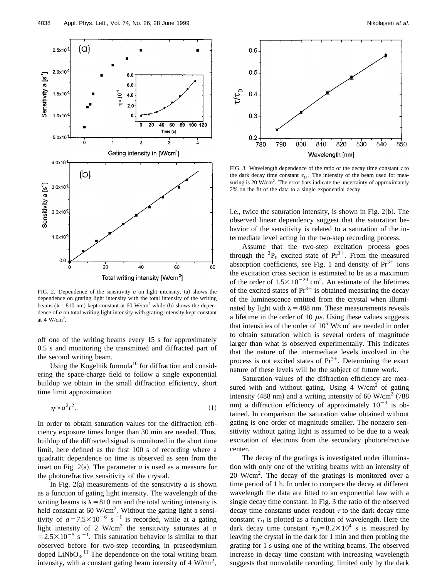

FIG. 2. Dependence of the sensitivity  $a$  on light intensity. (a) shows the dependence on grating light intensity with the total intensity of the writing beams ( $\lambda$ =810 nm) kept constant at 60 W/cm<sup>2</sup> while (b) shows the dependence of *a* on total writing light intensity with grating intensity kept constant at 4  $W/cm<sup>2</sup>$ .

off one of the writing beams every 15 s for approximately 0.5 s and monitoring the transmitted and diffracted part of the second writing beam.

Using the Kogelnik formula<sup>10</sup> for diffraction and considering the space-charge field to follow a single exponential buildup we obtain in the small diffraction efficiency, short time limit approximation

$$
\eta \approx a^2 t^2. \tag{1}
$$

In order to obtain saturation values for the diffraction efficiency exposure times longer than 30 min are needed. Thus, buildup of the diffracted signal is monitored in the short time limit, here defined as the first 100 s of recording where a quadratic dependence on time is observed as seen from the inset on Fig.  $2(a)$ . The parameter *a* is used as a measure for the photorefractive sensitivity of the crystal.

In Fig. 2(a) measurements of the sensitivity  $a$  is shown as a function of gating light intensity. The wavelength of the writing beams is  $\lambda$  = 810 nm and the total writing intensity is held constant at 60 W/cm<sup>2</sup>. Without the gating light a sensitivity of  $a=7.5\times10^{-6}$  s<sup>-1</sup> is recorded, while at a gating light intensity of 2 W/cm2 the sensitivity saturates at *a*  $=2.5\times10^{-5}$  s<sup>-1</sup>. This saturation behavior is similar to that observed before for two-step recording in praseodymium doped  $LiNbO<sub>3</sub>$ .<sup>11</sup> The dependence on the total writing beam intensity, with a constant gating beam intensity of 4 W/cm<sup>2</sup>,



FIG. 3. Wavelength dependence of the ratio of the decay time constant  $\tau$  to the dark decay time constant  $\tau_D$ . The intensity of the beam used for measuring is 20 W/cm<sup>2</sup>. The error bars indicate the uncertainty of approximately 2% on the fit of the data to a single exponential decay.

i.e., twice the saturation intensity, is shown in Fig.  $2(b)$ . The observed linear dependency suggest that the saturation behavior of the sensitivity is related to a saturation of the intermediate level acting in the two-step recording process.

Assume that the two-step excitation process goes through the  ${}^{3}P_0$  excited state of Pr<sup>3+</sup>. From the measured absorption coefficients, see Fig. 1 and density of  $Pr<sup>3+</sup>$  ions the excitation cross section is estimated to be as a maximum of the order of  $1.5 \times 10^{-20}$  cm<sup>2</sup>. An estimate of the lifetimes of the excited states of  $Pr^{3+}$  is obtained measuring the decay of the luminescence emitted from the crystal when illuminated by light with  $\lambda$  = 488 nm. These measurements reveals a lifetime in the order of 10  $\mu$ s. Using these values suggests that intensities of the order of  $10^5$  W/cm<sup>2</sup> are needed in order to obtain saturation which is several orders of magnitude larger than what is observed experimentally. This indicates that the nature of the intermediate levels involved in the process is not excited states of  $Pr^{3+}$ . Determining the exact nature of these levels will be the subject of future work.

Saturation values of the diffraction efficiency are measured with and without gating. Using  $4 \text{ W/cm}^2$  of gating intensity  $(488$  nm) and a writing intensity of 60 W/cm<sup>2</sup> (788) nm) a diffraction efficiency of approximately  $10^{-3}$  is obtained. In comparison the saturation value obtained without gating is one order of magnitude smaller. The nonzero sensitivity without gating light is assumed to be due to a weak excitation of electrons from the secondary photorefractive center.

The decay of the gratings is investigated under illumination with only one of the writing beams with an intensity of  $20 \text{ W/cm}^2$ . The decay of the gratings is monitored over a time period of 1 h. In order to compare the decay at different wavelength the data are fitted to an exponential law with a single decay time constant. In Fig. 3 the ratio of the observed decay time constants under readout  $\tau$  to the dark decay time constant  $\tau_D$  is plotted as a function of wavelength. Here the dark decay time constant  $\tau_D = 8.2 \times 10^4$  s is measured by leaving the crystal in the dark for 1 min and then probing the grating for 1 s using one of the writing beams. The observed increase in decay time constant with increasing wavelength suggests that nonvolatile recording, limited only by the dark